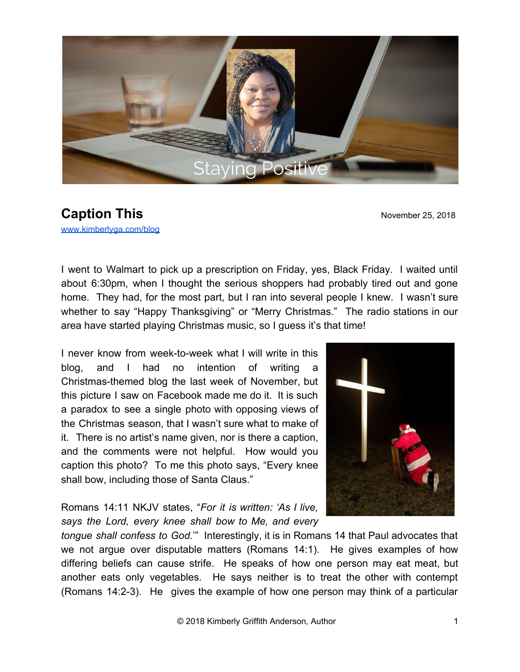

## **Caption This** November 25, 2018 [www.kimberlyga.com/blog](http://www.kimberlyga.com/blog)

I went to Walmart to pick up a prescription on Friday, yes, Black Friday. I waited until about 6:30pm, when I thought the serious shoppers had probably tired out and gone home. They had, for the most part, but I ran into several people I knew. I wasn't sure whether to say "Happy Thanksgiving" or "Merry Christmas." The radio stations in our area have started playing Christmas music, so I guess it's that time!

I never know from week-to-week what I will write in this blog, and I had no intention of writing a Christmas-themed blog the last week of November, but this picture I saw on Facebook made me do it. It is such a paradox to see a single photo with opposing views of the Christmas season, that I wasn't sure what to make of it. There is no artist's name given, nor is there a caption, and the comments were not helpful. How would you caption this photo? To me this photo says, "Every knee shall bow, including those of Santa Claus."

## Romans 14:11 NKJV states, "*For it is written: 'As I live, says the Lord, every knee shall bow to Me, and every*



*tongue shall confess to God.*'" Interestingly, it is in Romans 14 that Paul advocates that we not argue over disputable matters (Romans 14:1). He gives examples of how differing beliefs can cause strife. He speaks of how one person may eat meat, but another eats only vegetables. He says neither is to treat the other with contempt (Romans 14:2-3). He gives the example of how one person may think of a particular